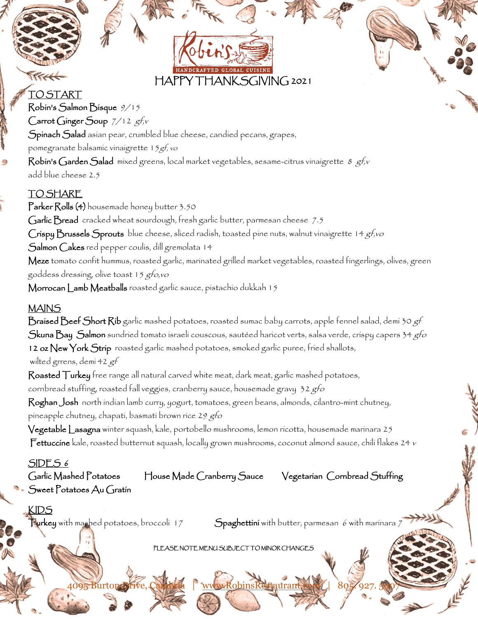# HAPPY THANKSGIVING 2021

## $77.44$

TO START Robin's Salmon Bisque 9/15 Carrot Ginger Soup  $7/12$  gf,v Spinach Salad asian pear, crumbled blue cheese, candied pecans, grapes, pomegranate balsamic vinaigrette 15gf, vo Robin's Garden Salad mixed greens, local market vegetables, sesame-citrus vinaigrette  $8$  gf, v add blue cheese 2.5

## TO SHARE

Parker Rolls (4) housemade honey butter 3.50 Garlic Bread cracked wheat sourdough, fresh garlic butter, parmesan cheese 7.5 Crispy Brussels Sprouts blue cheese, sliced radish, toasted pine nuts, walnut vinaigrette 14 gf,vo Salmon Cakes red pepper coulis, dill gremolata 14 Meze tomato confit hummus, roasted garlic, marinated grilled market vegetables, roasted fingerlings, olives, green goddess dressing, olive toast 15 gfo,vo Morrocan Lamb Meatballs roasted garlic sauce, pistachio dukkah 15

## MAINS

 $\mathsf B$ raised  $\mathsf B$ eef  $\mathsf S$ hort  $\mathsf R$ ib garlic mashed potatoes, roasted sumac baby carrots, apple fennel salad, demi 30 gf Skuna Bay Salmon sundried tomato israeli couscous, sautéed haricot verts, salsa verde, crispy capers 34 gfo 12 oz New York Strip roasted garlic mashed potatoes, smoked garlic puree, fried shallots, wilted grrens, demi 42 gf

Roasted Turkey free range all natural carved white meat, dark meat, garlic mashed potatoes, cornbread stuffing, roasted fall veggies, cranberry sauce, housemade gravy 32 gfo

Roghan Josh north indian lamb curry, yogurt, tomatoes, green beans, almonds, cilantro-mint chutney, pineapple chutney, chapati, basmati brown rice 2*9 gfo* 

Vegetable Lasagna winter squash, kale, portobello mushrooms, lemon ricotta, housemade marinara 25 Fettuccine kale, roasted butternut squash, locally grown mushrooms, coconut almond sauce, chili flakes 24 <sup>v</sup>

### SIDES 6

Garlic Mashed Potatoes House Made Cranberry Sauce Vegetarian Cornbread Stuffing Sweet Potatoes Au Gratin

KIDS

Turkey with mashed potatoes, broccoli 17  $S$ paghettini with butter, parmesan 6 with marinara 7

#### PLEASE NOTE MENU SUBJECT TO MINOR CHANGE

4095 Burton Drive, Cambria | www.RobinsRestaurant.com | 805. 927. 5007